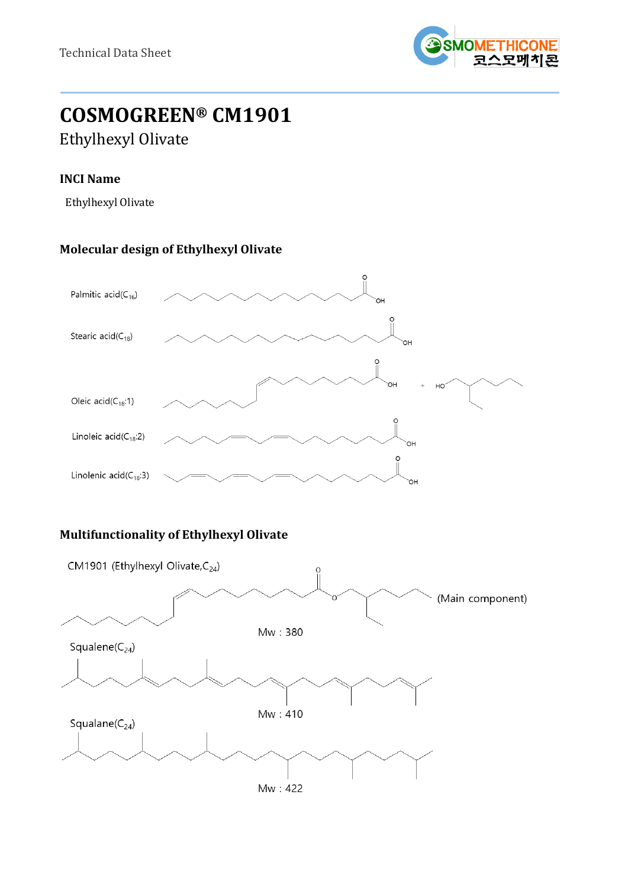

# **COSMOGREEN® CM1901** Ethylhexyl Olivate

## **INCI Name**

Ethylhexyl Olivate

# **Molecular design of Ethylhexyl Olivate**



# **Multifunctionality of Ethylhexyl Olivate**

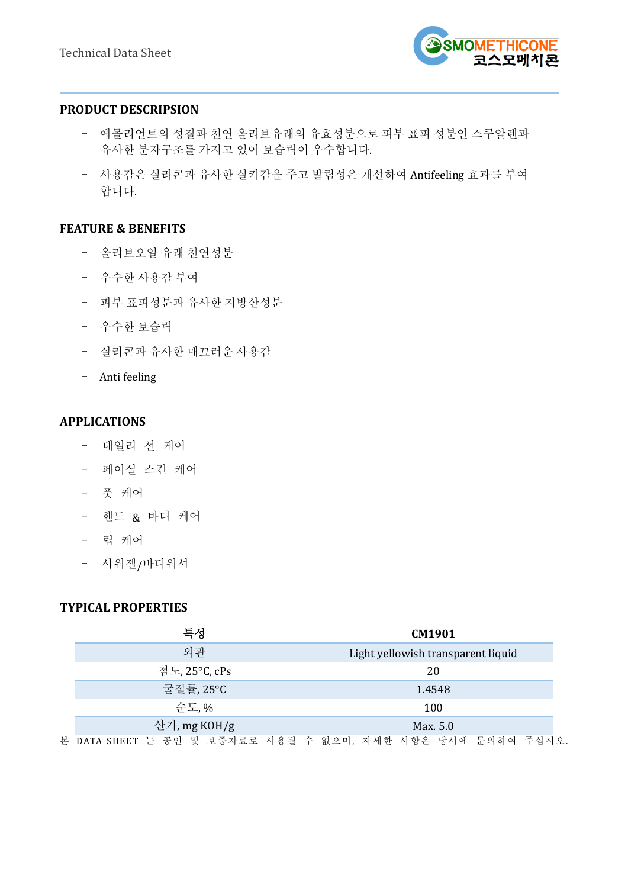

#### **PRODUCT DESCRIPSION**

- 에몰리언트의 성질과 천연 올리브유래의 유효성분으로 피부 표피 성분인 스쿠알렌과 유사한 분자구조를 가지고 있어 보습력이 우수합니다.
- 사용감은 실리콘과 유사한 실키감을 주고 발림성은 개선하여 Antifeeling 효과를 부여 합니다.

## **FEATURE & BENEFITS**

- 올리브오일 유래 천연성분
- 우수한 사용감 부여
- 피부 표피성분과 유사한 지방산성분
- 우수한 보습력
- 실리콘과 유사한 매끄러운 사용감
- Anti feeling

## **APPLICATIONS**

- 데일리 선 케어
- 페이셜 스킨 케어
- 풋 케어
- 핸드 & 바디 케어
- 립 케어
- 샤워젤/바디워셔

# **TYPICAL PROPERTIES**

| 특성                                                          | CM1901                             |
|-------------------------------------------------------------|------------------------------------|
| 외관                                                          | Light yellowish transparent liquid |
| 점도, 25°C, cPs                                               | 20                                 |
| 굴절률, 25°C                                                   | 1.4548                             |
| 순도.%                                                        | 100                                |
| 산가, mg KOH/g                                                | Max. 5.0                           |
| 본 DATA SHEET 는 공인 및 보증자료로 사용될 수 없으며, 자세한 사항은 당사에 문의하여 주십시오. |                                    |